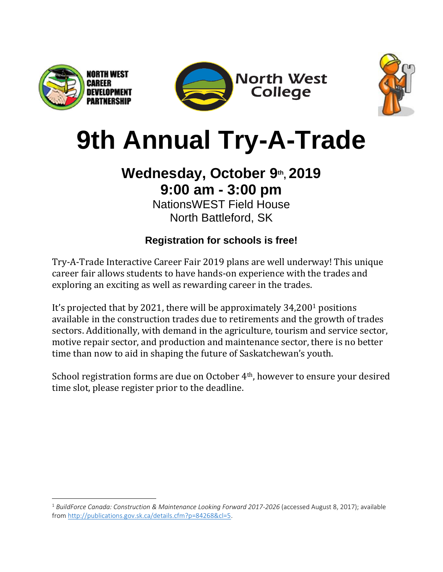

 $\overline{\phantom{a}}$ 





## **9th Annual Try-A-Trade**

## **Wednesday, October 9th , 2019 9:00 am - 3:00 pm**

NationsWEST Field House North Battleford, SK

## **Registration for schools is free!**

Try-A-Trade Interactive Career Fair 2019 plans are well underway! This unique career fair allows students to have hands-on experience with the trades and exploring an exciting as well as rewarding career in the trades.

It's projected that by 2021, there will be approximately 34,200<sup>1</sup> positions available in the construction trades due to retirements and the growth of trades sectors. Additionally, with demand in the agriculture, tourism and service sector, motive repair sector, and production and maintenance sector, there is no better time than now to aid in shaping the future of Saskatchewan's youth.

School registration forms are due on October 4th, however to ensure your desired time slot, please register prior to the deadline.

<sup>&</sup>lt;sup>1</sup> BuildForce Canada: Construction & Maintenance Looking Forward 2017-2026 (accessed August 8, 2017); available from [http://publications.gov.sk.ca/details.cfm?p=84268&cl=5.](http://publications.gov.sk.ca/details.cfm?p=84268&cl=5)